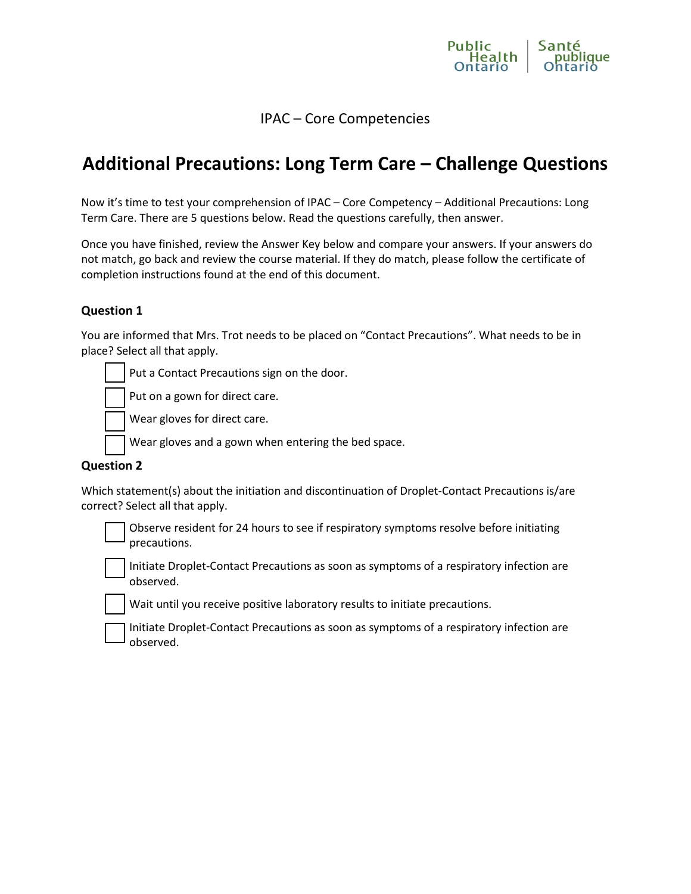

# IPAC – Core Competencies

# **Additional Precautions: Long Term Care – Challenge Questions**

Now it's time to test your comprehension of IPAC – Core Competency – Additional Precautions: Long Term Care. There are 5 questions below. Read the questions carefully, then answer.

Once you have finished, review the Answer Key below and compare your answers. If your answers do not match, go back and review the course material. If they do match, please follow the certificate of completion instructions found at the end of this document.

## **Question 1**

You are informed that Mrs. Trot needs to be placed on "Contact Precautions". What needs to be in place? Select all that apply.

Put a Contact Precautions sign on the door.

Put on a gown for direct care.

Wear gloves for direct care.

Wear gloves and a gown when entering the bed space.

#### **Question 2**

Which statement(s) about the initiation and discontinuation of Droplet-Contact Precautions is/are correct? Select all that apply.

 Observe resident for 24 hours to see if respiratory symptoms resolve before initiating precautions.

 Initiate Droplet-Contact Precautions as soon as symptoms of a respiratory infection are observed.

Wait until you receive positive laboratory results to initiate precautions.

 Initiate Droplet-Contact Precautions as soon as symptoms of a respiratory infection are observed.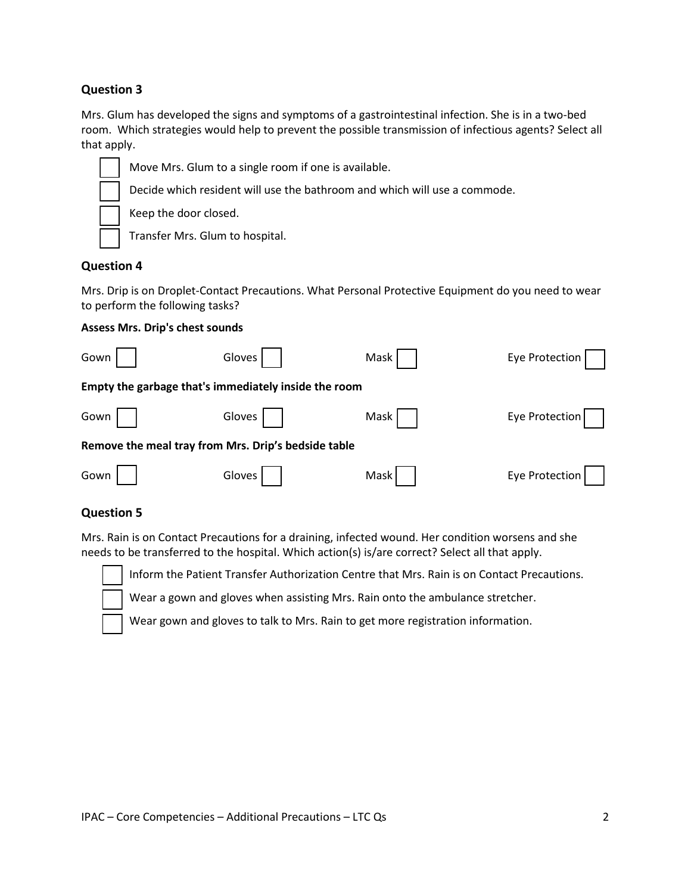## **Question 3**

Mrs. Glum has developed the signs and symptoms of a gastrointestinal infection. She is in a two-bed room. Which strategies would help to prevent the possible transmission of infectious agents? Select all that apply.



## **Question 4**

Mrs. Drip is on Droplet-Contact Precautions. What Personal Protective Equipment do you need to wear to perform the following tasks?

#### **Assess Mrs. Drip's chest sounds**

| Gown                                                 | Gloves | Mask | Eye Protection |
|------------------------------------------------------|--------|------|----------------|
| Empty the garbage that's immediately inside the room |        |      |                |
| Gown                                                 | Gloves | Mask | Eye Protection |
| Remove the meal tray from Mrs. Drip's bedside table  |        |      |                |
| Gown                                                 | Gloves | Mask | Eye Protection |

#### **Question 5**

Mrs. Rain is on Contact Precautions for a draining, infected wound. Her condition worsens and she needs to be transferred to the hospital. Which action(s) is/are correct? Select all that apply.



Inform the Patient Transfer Authorization Centre that Mrs. Rain is on Contact Precautions.

Wear a gown and gloves when assisting Mrs. Rain onto the ambulance stretcher.

Wear gown and gloves to talk to Mrs. Rain to get more registration information.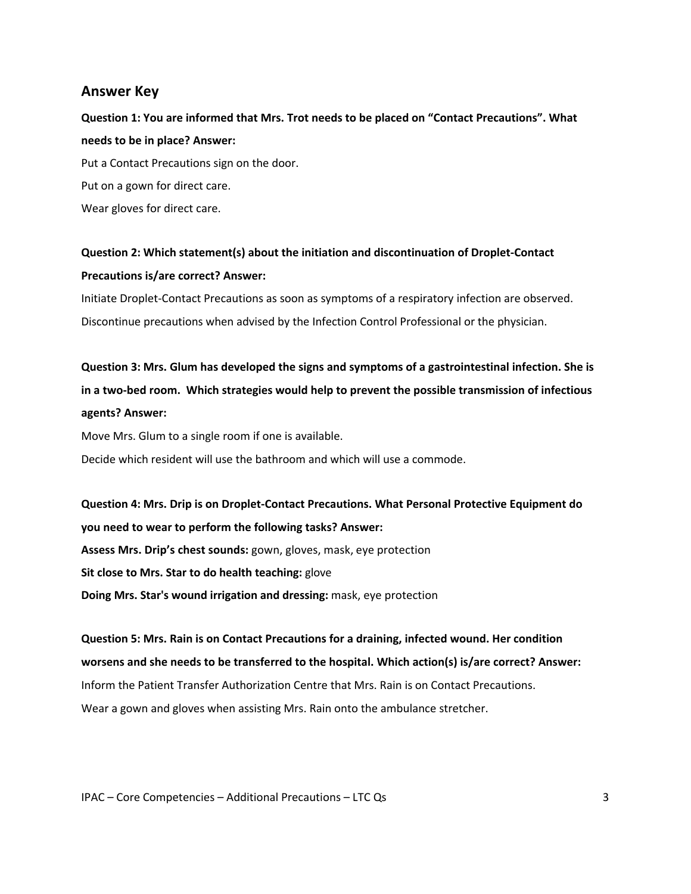# **Answer Key**

**Question 1: You are informed that Mrs. Trot needs to be placed on "Contact Precautions". What needs to be in place? Answer:** Put a Contact Precautions sign on the door. Put on a gown for direct care. Wear gloves for direct care.

# **Question 2: Which statement(s) about the initiation and discontinuation of Droplet-Contact Precautions is/are correct? Answer:**

Initiate Droplet-Contact Precautions as soon as symptoms of a respiratory infection are observed. Discontinue precautions when advised by the Infection Control Professional or the physician.

**Question 3: Mrs. Glum has developed the signs and symptoms of a gastrointestinal infection. She is in a two-bed room. Which strategies would help to prevent the possible transmission of infectious agents? Answer:**

Move Mrs. Glum to a single room if one is available. Decide which resident will use the bathroom and which will use a commode.

**Question 4: Mrs. Drip is on Droplet-Contact Precautions. What Personal Protective Equipment do you need to wear to perform the following tasks? Answer: Assess Mrs. Drip's chest sounds:** gown, gloves, mask, eye protection **Sit close to Mrs. Star to do health teaching:** glove **Doing Mrs. Star's wound irrigation and dressing:** mask, eye protection

**Question 5: Mrs. Rain is on Contact Precautions for a draining, infected wound. Her condition worsens and she needs to be transferred to the hospital. Which action(s) is/are correct? Answer:** Inform the Patient Transfer Authorization Centre that Mrs. Rain is on Contact Precautions. Wear a gown and gloves when assisting Mrs. Rain onto the ambulance stretcher.

IPAC – Core Competencies – Additional Precautions – LTC Qs 3